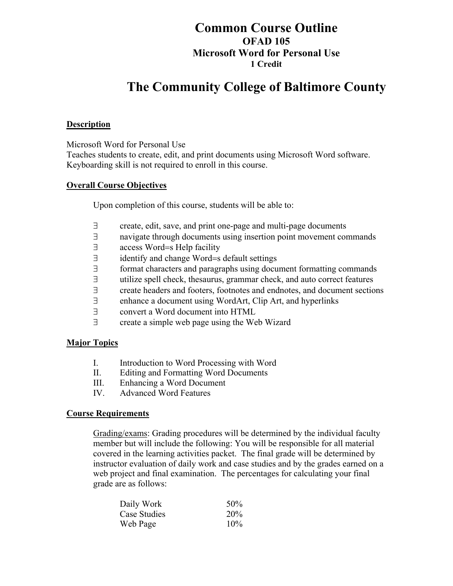## **Common Course Outline OFAD 105 Microsoft Word for Personal Use 1 Credit**

# **The Community College of Baltimore County**

#### **Description**

Microsoft Word for Personal Use

Teaches students to create, edit, and print documents using Microsoft Word software. Keyboarding skill is not required to enroll in this course.

#### **Overall Course Objectives**

Upon completion of this course, students will be able to:

- ∃ create, edit, save, and print one-page and multi-page documents
- ∃ navigate through documents using insertion point movement commands
- ∃ access Word=s Help facility
- ∃ identify and change Word=s default settings
- ∃ format characters and paragraphs using document formatting commands
- ∃ utilize spell check, thesaurus, grammar check, and auto correct features
- ∃ create headers and footers, footnotes and endnotes, and document sections
- ∃ enhance a document using WordArt, Clip Art, and hyperlinks
- ∃ convert a Word document into HTML
- ∃ create a simple web page using the Web Wizard

#### **Major Topics**

- I. Introduction to Word Processing with Word
- II. Editing and Formatting Word Documents
- III. Enhancing a Word Document
- IV. Advanced Word Features

#### **Course Requirements**

Grading/exams: Grading procedures will be determined by the individual faculty member but will include the following: You will be responsible for all material covered in the learning activities packet. The final grade will be determined by instructor evaluation of daily work and case studies and by the grades earned on a web project and final examination. The percentages for calculating your final grade are as follows:

| Daily Work   | 50%        |
|--------------|------------|
| Case Studies | <b>20%</b> |
| Web Page     | 10%        |